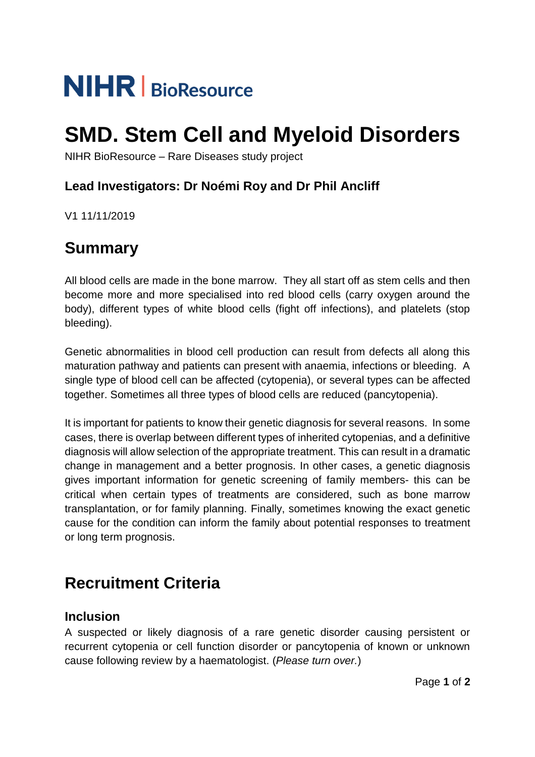# **NIHR** | BioResource

## **SMD. Stem Cell and Myeloid Disorders**

NIHR BioResource – Rare Diseases study project

### **Lead Investigators: Dr Noémi Roy and Dr Phil Ancliff**

V1 11/11/2019

## **Summary**

All blood cells are made in the bone marrow. They all start off as stem cells and then become more and more specialised into red blood cells (carry oxygen around the body), different types of white blood cells (fight off infections), and platelets (stop bleeding).

Genetic abnormalities in blood cell production can result from defects all along this maturation pathway and patients can present with anaemia, infections or bleeding. A single type of blood cell can be affected (cytopenia), or several types can be affected together. Sometimes all three types of blood cells are reduced (pancytopenia).

It is important for patients to know their genetic diagnosis for several reasons. In some cases, there is overlap between different types of inherited cytopenias, and a definitive diagnosis will allow selection of the appropriate treatment. This can result in a dramatic change in management and a better prognosis. In other cases, a genetic diagnosis gives important information for genetic screening of family members- this can be critical when certain types of treatments are considered, such as bone marrow transplantation, or for family planning. Finally, sometimes knowing the exact genetic cause for the condition can inform the family about potential responses to treatment or long term prognosis.

## **Recruitment Criteria**

#### **Inclusion**

A suspected or likely diagnosis of a rare genetic disorder causing persistent or recurrent cytopenia or cell function disorder or pancytopenia of known or unknown cause following review by a haematologist. (*Please turn over.*)